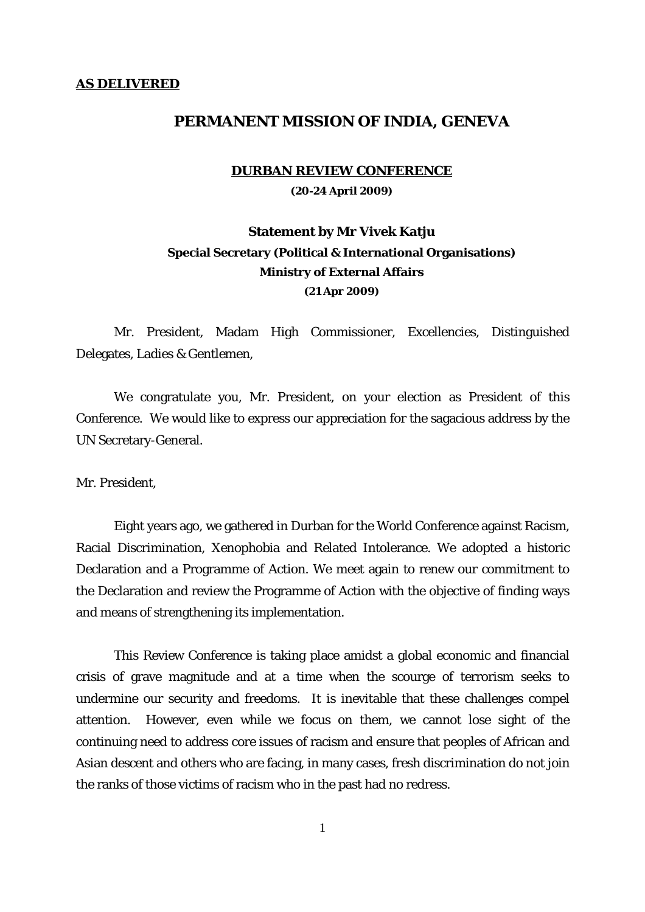### **AS DELIVERED**

## **PERMANENT MISSION OF INDIA, GENEVA**

#### **DURBAN REVIEW CONFERENCE**

**(20-24 April 2009)** 

# **Statement by Mr Vivek Katju Special Secretary (Political & International Organisations) Ministry of External Affairs (21 Apr 2009)**

Mr. President, Madam High Commissioner, Excellencies, Distinguished Delegates, Ladies & Gentlemen,

 We congratulate you, Mr. President, on your election as President of this Conference. We would like to express our appreciation for the sagacious address by the UN Secretary-General.

Mr. President,

 Eight years ago, we gathered in Durban for the World Conference against Racism, Racial Discrimination, Xenophobia and Related Intolerance. We adopted a historic Declaration and a Programme of Action. We meet again to renew our commitment to the Declaration and review the Programme of Action with the objective of finding ways and means of strengthening its implementation.

 This Review Conference is taking place amidst a global economic and financial crisis of grave magnitude and at a time when the scourge of terrorism seeks to undermine our security and freedoms. It is inevitable that these challenges compel attention. However, even while we focus on them, we cannot lose sight of the continuing need to address core issues of racism and ensure that peoples of African and Asian descent and others who are facing, in many cases, fresh discrimination do not join the ranks of those victims of racism who in the past had no redress.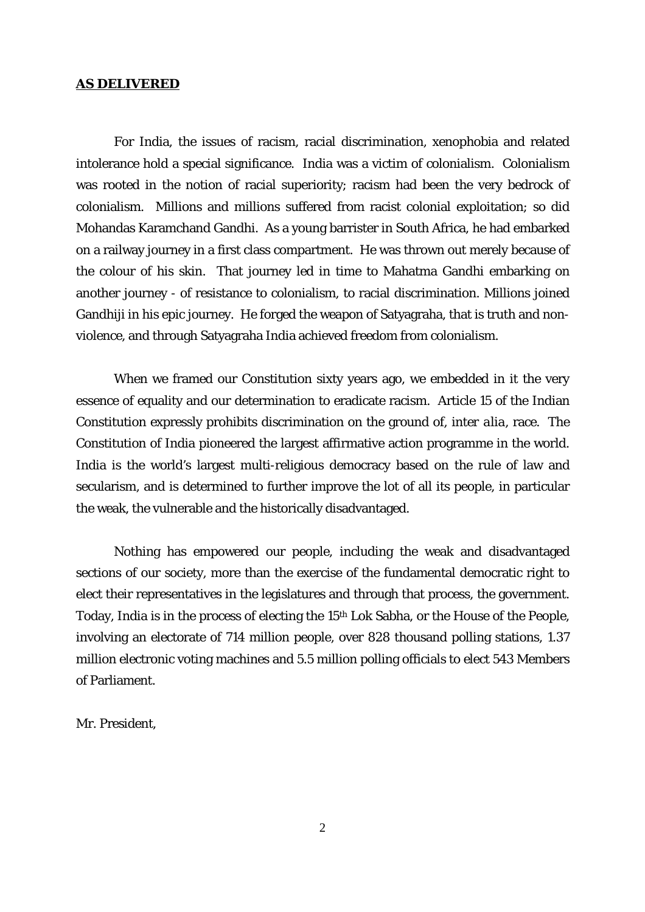### **AS DELIVERED**

 For India, the issues of racism, racial discrimination, xenophobia and related intolerance hold a special significance. India was a victim of colonialism. Colonialism was rooted in the notion of racial superiority; racism had been the very bedrock of colonialism. Millions and millions suffered from racist colonial exploitation; so did Mohandas Karamchand Gandhi. As a young barrister in South Africa, he had embarked on a railway journey in a first class compartment. He was thrown out merely because of the colour of his skin. That journey led in time to Mahatma Gandhi embarking on another journey - of resistance to colonialism, to racial discrimination. Millions joined Gandhiji in his epic journey. He forged the weapon of Satyagraha, that is truth and nonviolence, and through Satyagraha India achieved freedom from colonialism.

 When we framed our Constitution sixty years ago, we embedded in it the very essence of equality and our determination to eradicate racism. Article 15 of the Indian Constitution expressly prohibits discrimination on the ground of, *inter alia*, race. The Constitution of India pioneered the largest affirmative action programme in the world. India is the world's largest multi-religious democracy based on the rule of law and secularism, and is determined to further improve the lot of all its people, in particular the weak, the vulnerable and the historically disadvantaged.

Nothing has empowered our people, including the weak and disadvantaged sections of our society, more than the exercise of the fundamental democratic right to elect their representatives in the legislatures and through that process, the government. Today, India is in the process of electing the 15th Lok Sabha, or the House of the People, involving an electorate of 714 million people, over 828 thousand polling stations, 1.37 million electronic voting machines and 5.5 million polling officials to elect 543 Members of Parliament.

Mr. President,